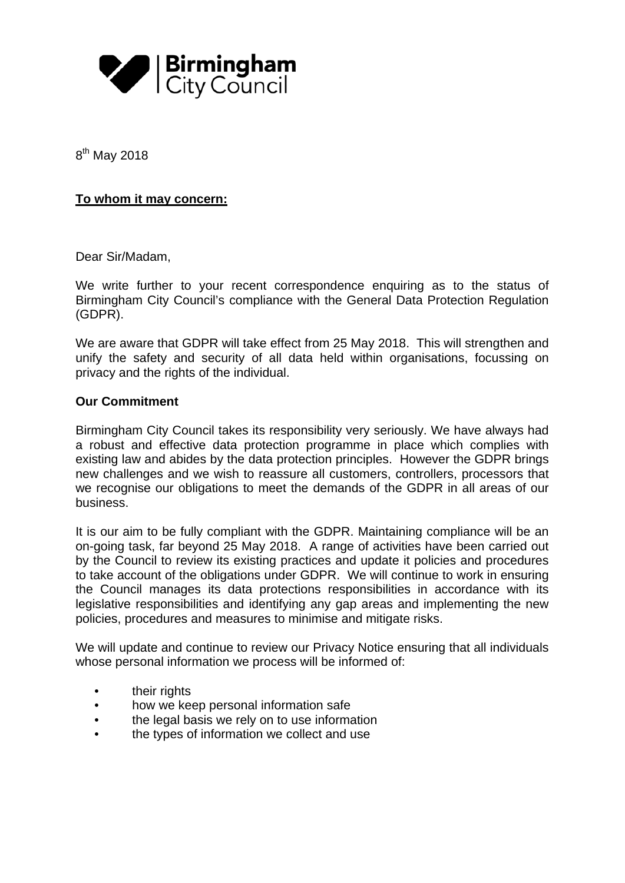

8<sup>th</sup> May 2018

## **To whom it may concern:**

Dear Sir/Madam,

We write further to your recent correspondence enquiring as to the status of Birmingham City Council's compliance with the General Data Protection Regulation (GDPR).

We are aware that GDPR will take effect from 25 May 2018. This will strengthen and unify the safety and security of all data held within organisations, focussing on privacy and the rights of the individual.

## **Our Commitment**

Birmingham City Council takes its responsibility very seriously. We have always had a robust and effective data protection programme in place which complies with existing law and abides by the data protection principles. However the GDPR brings new challenges and we wish to reassure all customers, controllers, processors that we recognise our obligations to meet the demands of the GDPR in all areas of our business.

It is our aim to be fully compliant with the GDPR. Maintaining compliance will be an on-going task, far beyond 25 May 2018. A range of activities have been carried out by the Council to review its existing practices and update it policies and procedures to take account of the obligations under GDPR. We will continue to work in ensuring the Council manages its data protections responsibilities in accordance with its legislative responsibilities and identifying any gap areas and implementing the new policies, procedures and measures to minimise and mitigate risks.

We will update and continue to review our Privacy Notice ensuring that all individuals whose personal information we process will be informed of:

- their rights
- how we keep personal information safe
- the legal basis we rely on to use information
- the types of information we collect and use